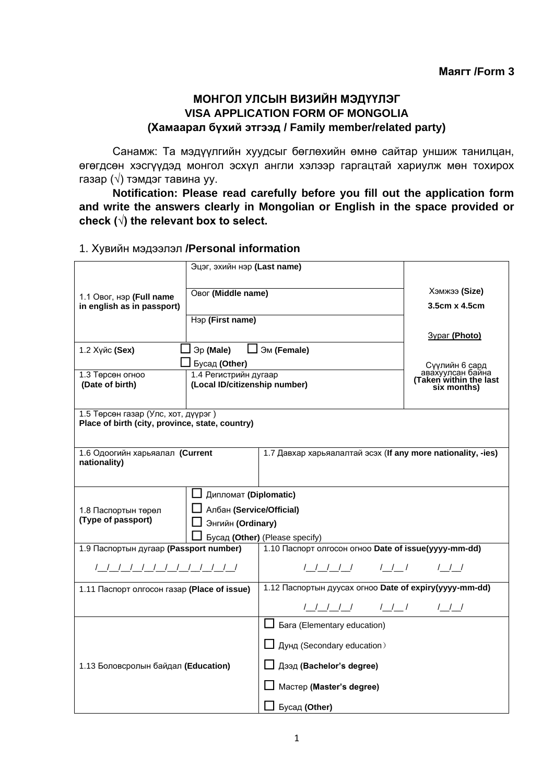### **МОНГОЛ УЛСЫН ВИЗИЙН МЭДҮҮЛЭГ VISA APPLICATION FORM OF MONGOLIA (Хамаарал бүхий этгээд / Family member/related party)**

Санамж: Та мэдүүлгийн хуудсыг бөглөхийн өмнө сайтар уншиж танилцан, өгөгдсөн хэсгүүдэд монгол эсхүл англи хэлээр гаргацтай хариулж мөн тохирох газар (√) тэмдэг тавина уу.

**Notification: Please read carefully before you fill out the application form and write the answers clearly in Mongolian or English in the space provided or check (√) the relevant box to select.** 

### 1. Хувийн мэдээлэл **/Personal information**

|                                                                                        | Эцэг, эхийн нэр (Last name)                                                       |                                                              |                                                              |  |
|----------------------------------------------------------------------------------------|-----------------------------------------------------------------------------------|--------------------------------------------------------------|--------------------------------------------------------------|--|
| 1.1 Овог, нэр (Full name<br>in english as in passport)                                 | Овог (Middle name)                                                                |                                                              | Хэмжээ (Size)<br>3.5cm x 4.5cm                               |  |
|                                                                                        | Hap (First name)                                                                  |                                                              |                                                              |  |
|                                                                                        |                                                                                   |                                                              | <b>3ypar (Photo)</b>                                         |  |
| 1.2 Хүйс (Sex)                                                                         | $\Box$ $\Im p$ (Male) $\Box$ $\Im M$ (Female)                                     |                                                              |                                                              |  |
|                                                                                        | $\Box$ Бусад (Other)                                                              |                                                              | Сүүлийн 6 сард<br>авахуулсан байна<br>Taken within the last) |  |
| 1.3 Төрсөн огноо<br>(Date of birth)                                                    | 1.4 Регистрийн дугаар<br>(Local ID/citizenship number)                            | six months)                                                  |                                                              |  |
| 1.5 Төрсөн газар (Улс, хот, дүүрэг)<br>Place of birth (city, province, state, country) |                                                                                   |                                                              |                                                              |  |
| 1.6 Одоогийн харьяалал (Current<br>nationality)                                        |                                                                                   | 1.7 Давхар харьяалалтай эсэх (If any more nationality, -ies) |                                                              |  |
| 1.8 Паспортын төрөл<br>(Type of passport)                                              | □ Дипломат (Diplomatic)<br><b>J</b> Албан (Service/Official)<br>Энгийн (Ordinary) | Бусад (Other) (Please specify)                               |                                                              |  |
| 1.9 Паспортын дугаар (Passport number)                                                 |                                                                                   | 1.10 Паспорт олгосон огноо Date of issue(уууу-mm-dd)         |                                                              |  |
|                                                                                        |                                                                                   |                                                              |                                                              |  |
| 1.11 Паспорт олгосон газар (Place of issue)                                            |                                                                                   | 1.12 Паспортын дуусах огноо Date of expiry(уууу-mm-dd)       |                                                              |  |
|                                                                                        |                                                                                   |                                                              |                                                              |  |
| 1.13 Боловсролын байдал (Education)                                                    |                                                                                   | <b>L Bara</b> (Elementary education)                         |                                                              |  |
|                                                                                        |                                                                                   | $\Box$ Дунд (Secondary education)                            |                                                              |  |
|                                                                                        |                                                                                   | <b>∐ Дээд (Bachelor's degree)</b>                            |                                                              |  |
|                                                                                        |                                                                                   | $\Box$ Mactep (Master's degree)                              |                                                              |  |
|                                                                                        |                                                                                   | $\Box$ Бусад (Other)                                         |                                                              |  |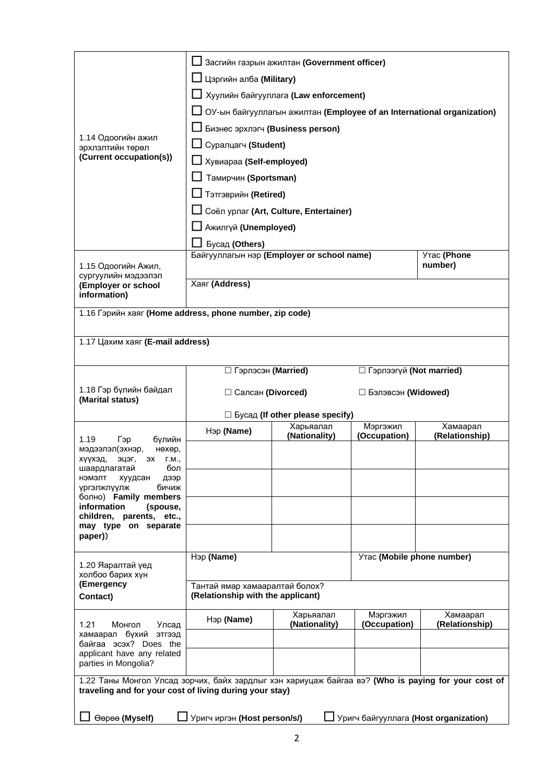| 1.14 Одоогийн ажил<br>эрхлэлтийн төрөл<br>(Current occupation(s))                                                                                                                                                                                           | Засгийн газрын ажилтан (Government officer)<br>Цэргийн алба (Military)<br>Хуулийн байгууллага (Law enforcement)<br>ОУ-ын байгууллагын ажилтан (Employee of an International organization)<br>Бизнес эрхлэгч (Business person)<br>Суралцагч (Student)<br>Хувиараа (Self-employed)<br>Тамирчин (Sportsman)<br>Тэтгэврийн (Retired)<br>Соёл урлаг (Art, Culture, Entertainer)<br>Ажилгүй (Unemployed) |                                                                      |                          |                            |
|-------------------------------------------------------------------------------------------------------------------------------------------------------------------------------------------------------------------------------------------------------------|----------------------------------------------------------------------------------------------------------------------------------------------------------------------------------------------------------------------------------------------------------------------------------------------------------------------------------------------------------------------------------------------------|----------------------------------------------------------------------|--------------------------|----------------------------|
| 1.15 Одоогийн Ажил,<br>сургуулийн мэдээлэл<br>(Employer or school                                                                                                                                                                                           | Бусад (Others)<br>Утас (Phone<br>Байгууллагын нэр (Employer or school name)<br>number)<br>Хаяг (Address)                                                                                                                                                                                                                                                                                           |                                                                      |                          |                            |
| information)                                                                                                                                                                                                                                                |                                                                                                                                                                                                                                                                                                                                                                                                    |                                                                      |                          |                            |
| 1.16 Гэрийн хаяг (Home address, phone number, zip code)                                                                                                                                                                                                     |                                                                                                                                                                                                                                                                                                                                                                                                    |                                                                      |                          |                            |
| 1.17 Цахим хаяг (E-mail address)                                                                                                                                                                                                                            |                                                                                                                                                                                                                                                                                                                                                                                                    |                                                                      |                          |                            |
|                                                                                                                                                                                                                                                             |                                                                                                                                                                                                                                                                                                                                                                                                    |                                                                      |                          |                            |
| 1.18 Гэр бүлийн байдал<br>(Marital status)                                                                                                                                                                                                                  | □ Гэрлэсэн (Married)<br>П Гэрлээгүй (Not married)<br>□ Салсан (Divorced)<br>□ Бэлэвсэн (Widowed)                                                                                                                                                                                                                                                                                                   |                                                                      |                          |                            |
| 1.19<br>Гэр<br>бүлийн                                                                                                                                                                                                                                       | Нэр (Name)                                                                                                                                                                                                                                                                                                                                                                                         | $\Box$ Бусад (If other please specify)<br>Харьяалал<br>(Nationality) | Мэргэжил<br>(Occupation) | Хамаарал<br>(Relationship) |
| мэдээлэл(эхнэр,<br>нөхөр,<br>хүүхэд,<br>эцэг,<br>эх<br>Г.М.,<br>бол<br>шаардлагатаи<br>нэмэлт<br>хуудсан<br>дээр<br>бичиж<br>үргэлжлүүлж<br>болно) Family members<br>information<br>(spouse,<br>children, parents, etc.,<br>may type on separate<br>paper)) |                                                                                                                                                                                                                                                                                                                                                                                                    |                                                                      |                          |                            |
| 1.20 Яаралтай үед<br>холбоо барих хүн<br>(Emergency                                                                                                                                                                                                         | Нэр (Name)<br>Утас (Mobile phone number)<br>Тантай ямар хамааралтай болох?                                                                                                                                                                                                                                                                                                                         |                                                                      |                          |                            |
| Contact)                                                                                                                                                                                                                                                    | (Relationship with the applicant)                                                                                                                                                                                                                                                                                                                                                                  |                                                                      |                          |                            |
| 1.21<br>Монгол<br>Улсад<br>хамаарал бүхий<br>ЭТГЭЭД<br>байгаа эсэх? Does the<br>applicant have any related<br>parties in Mongolia?                                                                                                                          | Нэр (Name)                                                                                                                                                                                                                                                                                                                                                                                         | Харьяалал<br>(Nationality)                                           | Мэргэжил<br>(Occupation) | Хамаарал<br>(Relationship) |
| 1.22 Таны Монгол Улсад зорчих, байх зардлыг хэн хариуцаж байгаа вэ? (Who is paying for your cost of<br>traveling and for your cost of living during your stay)<br>Уригч байгууллага (Host organization)<br>Өөрөө (Myself)<br>Уригч иргэн (Host person/s/)   |                                                                                                                                                                                                                                                                                                                                                                                                    |                                                                      |                          |                            |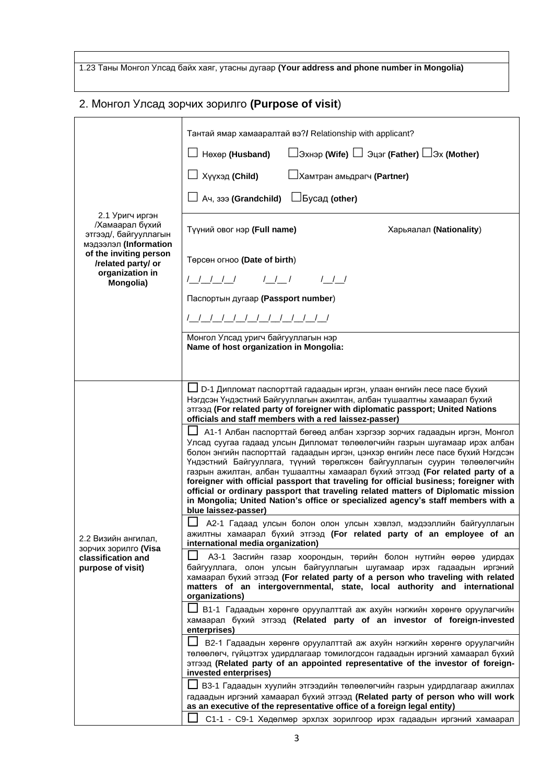1.23 Таны Монгол Улсад байх хаяг, утасны дугаар **(Your address and phone number in Mongolia)**

# 2. Монгол Улсад зорчих зорилго **(Purpose of visit**)

|                                                                                        | Тантай ямар хамааралтай вэ?/ Relationship with applicant?                                                                                                                                                                                                                                                                                                                                                                                                                                                                                                                                                                                                                                       |  |  |  |
|----------------------------------------------------------------------------------------|-------------------------------------------------------------------------------------------------------------------------------------------------------------------------------------------------------------------------------------------------------------------------------------------------------------------------------------------------------------------------------------------------------------------------------------------------------------------------------------------------------------------------------------------------------------------------------------------------------------------------------------------------------------------------------------------------|--|--|--|
|                                                                                        | $\Box$ Эхнэр (Wife) $\Box$ Эцэг (Father) $\Box$ Эх (Mother)<br>│ Нөхөр <b>(Husband)</b>                                                                                                                                                                                                                                                                                                                                                                                                                                                                                                                                                                                                         |  |  |  |
|                                                                                        | $\Box$ Хүүхэд (Child)<br><b>L</b> Xaмтран амьдрагч (Partner)                                                                                                                                                                                                                                                                                                                                                                                                                                                                                                                                                                                                                                    |  |  |  |
|                                                                                        | $\Box$ Ач, зээ (Grandchild) $\Box$ Бусад (other)                                                                                                                                                                                                                                                                                                                                                                                                                                                                                                                                                                                                                                                |  |  |  |
| 2.1 Уригч иргэн<br>/Хамаарал бүхий<br>этгээд/, байгууллагын<br>мэдээлэл (Information   | Түүний овог нэр (Full name)<br>Харьяалал (Nationality)                                                                                                                                                                                                                                                                                                                                                                                                                                                                                                                                                                                                                                          |  |  |  |
| of the inviting person<br>/related party/ or<br>organization in                        | Төрсөн огноо (Date of birth)<br>/__/__/__/    /__/___/    /__/__/                                                                                                                                                                                                                                                                                                                                                                                                                                                                                                                                                                                                                               |  |  |  |
| Mongolia)                                                                              | Паспортын дугаар (Passport number)                                                                                                                                                                                                                                                                                                                                                                                                                                                                                                                                                                                                                                                              |  |  |  |
|                                                                                        | /__/__/__/__/__/__/__/__/__/__/                                                                                                                                                                                                                                                                                                                                                                                                                                                                                                                                                                                                                                                                 |  |  |  |
|                                                                                        | Монгол Улсад уригч байгууллагын нэр<br>Name of host organization in Mongolia:                                                                                                                                                                                                                                                                                                                                                                                                                                                                                                                                                                                                                   |  |  |  |
|                                                                                        |                                                                                                                                                                                                                                                                                                                                                                                                                                                                                                                                                                                                                                                                                                 |  |  |  |
| 2.2 Визийн ангилал,<br>зорчих зорилго (Visa<br>classification and<br>purpose of visit) | ∐ D-1 Дипломат паспорттай гадаадын иргэн, улаан өнгийн лесе пасе бүхий<br>Нэгдсэн Үндэстний Байгууллагын ажилтан, албан тушаалтны хамаарал бүхий<br>этгээд (For related party of foreigner with diplomatic passport; United Nations<br>officials and staff members with a red laissez-passer)                                                                                                                                                                                                                                                                                                                                                                                                   |  |  |  |
|                                                                                        | А1-1 Албан паспорттай бөгөөд албан хэргээр зорчих гадаадын иргэн, Монгол<br>Улсад суугаа гадаад улсын Дипломат төлөөлөгчийн газрын шугамаар ирэх албан<br>болон энгийн паспорттай гадаадын иргэн, цэнхэр өнгийн лесе пасе бүхий Нэгдсэн<br>Үндэстний Байгууллага, түүний төрөлжсөн байгууллагын суурин төлөөлөгчийн<br>газрын ажилтан, албан тушаалтны хамаарал бүхий этгээд (For related party of a<br>foreigner with official passport that traveling for official business; foreigner with<br>official or ordinary passport that traveling related matters of Diplomatic mission<br>in Mongolia; United Nation's office or specialized agency's staff members with a<br>blue laissez-passer) |  |  |  |
|                                                                                        | ∐ А2-1 Гадаад улсын болон олон улсын хэвлэл, мэдээллийн байгууллагын<br>ажилтны хамаарал бүхий этгээд (For related party of an employee of an<br>international media organization)                                                                                                                                                                                                                                                                                                                                                                                                                                                                                                              |  |  |  |
|                                                                                        | АЗ-1 Засгийн газар хоорондын, төрийн болон нутгийн өөрөө удирдах<br>байгууллага, олон улсын байгууллагын шугамаар ирэх гадаадын иргэний<br>хамаарал бүхий этгээд (For related party of a person who traveling with related<br>matters of an intergovernmental, state, local authority and international<br>organizations)                                                                                                                                                                                                                                                                                                                                                                       |  |  |  |
|                                                                                        | В1-1 Гадаадын хөрөнгө оруулалттай аж ахуйн нэгжийн хөрөнгө оруулагчийн<br>хамаарал бүхий этгээд (Related party of an investor of foreign-invested<br>enterprises)                                                                                                                                                                                                                                                                                                                                                                                                                                                                                                                               |  |  |  |
|                                                                                        | В2-1 Гадаадын хөрөнгө оруулалттай аж ахуйн нэгжийн хөрөнгө оруулагчийн<br>төлөөлөгч, гүйцэтгэх удирдлагаар томилогдсон гадаадын иргэний хамаарал бүхий<br>этгээд (Related party of an appointed representative of the investor of foreign-<br>invested enterprises)                                                                                                                                                                                                                                                                                                                                                                                                                             |  |  |  |
|                                                                                        | ВЗ-1 Гадаадын хуулийн этгээдийн төлөөлөгчийн газрын удирдлагаар ажиллах<br>гадаадын иргэний хамаарал бүхий этгээд (Related party of person who will work<br>as an executive of the representative office of a foreign legal entity)                                                                                                                                                                                                                                                                                                                                                                                                                                                             |  |  |  |
|                                                                                        | С1-1 - С9-1 Хөдөлмөр эрхлэх зорилгоор ирэх гадаадын иргэний хамаарал                                                                                                                                                                                                                                                                                                                                                                                                                                                                                                                                                                                                                            |  |  |  |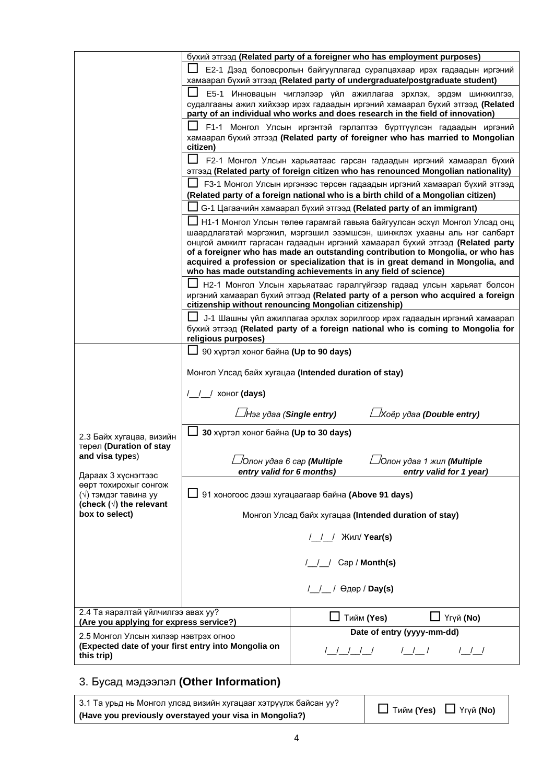|                                                                                              |                                                                                                                                                     | бүхий этгээд (Related party of a foreigner who has employment purposes)                                                                                  |  |  |
|----------------------------------------------------------------------------------------------|-----------------------------------------------------------------------------------------------------------------------------------------------------|----------------------------------------------------------------------------------------------------------------------------------------------------------|--|--|
|                                                                                              | Е2-1 Дээд боловсролын байгууллагад суралцахаар ирэх гадаадын иргэний<br>хамаарал бүхий этгээд (Related party of undergraduate/postgraduate student) |                                                                                                                                                          |  |  |
|                                                                                              | E5-1                                                                                                                                                | Инновацын чиглэлээр үйл ажиллагаа эрхлэх, эрдэм шинжилгээ,                                                                                               |  |  |
|                                                                                              |                                                                                                                                                     | судалгааны ажил хийхээр ирэх гадаадын иргэний хамаарал бүхий этгээд (Related                                                                             |  |  |
|                                                                                              |                                                                                                                                                     | party of an individual who works and does research in the field of innovation)                                                                           |  |  |
|                                                                                              | F1-1 Монгол Улсын иргэнтэй гэрлэлтээ бүртгүүлсэн гадаадын иргэний                                                                                   |                                                                                                                                                          |  |  |
|                                                                                              | хамаарал бүхий этгээд (Related party of foreigner who has married to Mongolian                                                                      |                                                                                                                                                          |  |  |
|                                                                                              | citizen)                                                                                                                                            | F2-1 Монгол Улсын харьяатаас гарсан гадаадын иргэний хамаарал бүхий                                                                                      |  |  |
|                                                                                              |                                                                                                                                                     | этгээд (Related party of foreign citizen who has renounced Mongolian nationality)                                                                        |  |  |
|                                                                                              | F3-1 Монгол Улсын иргэнээс төрсөн гадаадын иргэний хамаарал бүхий этгээд                                                                            |                                                                                                                                                          |  |  |
|                                                                                              | (Related party of a foreign national who is a birth child of a Mongolian citizen)                                                                   |                                                                                                                                                          |  |  |
|                                                                                              |                                                                                                                                                     | G-1 Цагаачийн хамаарал бүхий этгээд (Related party of an immigrant)                                                                                      |  |  |
|                                                                                              |                                                                                                                                                     | Н1-1 Монгол Улсын төлөө гарамгай гавьяа байгуулсан эсхүл Монгол Улсад онц                                                                                |  |  |
|                                                                                              |                                                                                                                                                     | шаардлагатай мэргэжил, мэргэшил эзэмшсэн, шинжлэх ухааны аль нэг салбарт<br>онцгой амжилт гаргасан гадаадын иргэний хамаарал бүхий этгээд (Related party |  |  |
|                                                                                              |                                                                                                                                                     | of a foreigner who has made an outstanding contribution to Mongolia, or who has                                                                          |  |  |
|                                                                                              |                                                                                                                                                     | acquired a profession or specialization that is in great demand in Mongolia, and                                                                         |  |  |
|                                                                                              |                                                                                                                                                     | who has made outstanding achievements in any field of science)                                                                                           |  |  |
|                                                                                              |                                                                                                                                                     | Н2-1 Монгол Улсын харьяатаас гаралгүйгээр гадаад улсын харьяат болсон<br>иргэний хамаарал бүхий этгээд (Related party of a person who acquired a foreign |  |  |
|                                                                                              | citizenship without renouncing Mongolian citizenship)                                                                                               |                                                                                                                                                          |  |  |
|                                                                                              |                                                                                                                                                     | Ј-1 Шашны үйл ажиллагаа эрхлэх зорилгоор ирэх гадаадын иргэний хамаарал                                                                                  |  |  |
|                                                                                              | religious purposes)                                                                                                                                 | бүхий этгээд (Related party of a foreign national who is coming to Mongolia for                                                                          |  |  |
|                                                                                              | 90 хүртэл хоног байна (Up to 90 days)                                                                                                               |                                                                                                                                                          |  |  |
|                                                                                              |                                                                                                                                                     |                                                                                                                                                          |  |  |
|                                                                                              |                                                                                                                                                     | Монгол Улсад байх хугацаа (Intended duration of stay)                                                                                                    |  |  |
|                                                                                              | /__/__/ хоног (days)                                                                                                                                |                                                                                                                                                          |  |  |
|                                                                                              | ∟Нэг удаа (Single entry)                                                                                                                            | ∟Хоёр удаа (Double entry)                                                                                                                                |  |  |
| 2.3 Байх хугацаа, визийн                                                                     | 30 хүртэл хоног байна (Up to 30 days)                                                                                                               |                                                                                                                                                          |  |  |
| төрөл (Duration of stay<br>and visa types)                                                   |                                                                                                                                                     |                                                                                                                                                          |  |  |
|                                                                                              | /Олон удаа 1 жил <b>(Multiple</b><br>/Олон удаа 6 сар <b>(Multiple</b><br>entry valid for 6 months)                                                 |                                                                                                                                                          |  |  |
| Дараах 3 хүснэгтээс<br>өөрт тохирохыг сонгож                                                 |                                                                                                                                                     | entry valid for 1 year)                                                                                                                                  |  |  |
| (√) тэмдэг тавина уу<br>(check ( $\sqrt{ }$ ) the relevant                                   | 91 хоногоос дээш хугацаагаар байна (Above 91 days)                                                                                                  |                                                                                                                                                          |  |  |
| box to select)                                                                               | Монгол Улсад байх хугацаа (Intended duration of stay)                                                                                               |                                                                                                                                                          |  |  |
|                                                                                              | Жил/ Year(s)                                                                                                                                        |                                                                                                                                                          |  |  |
|                                                                                              |                                                                                                                                                     |                                                                                                                                                          |  |  |
|                                                                                              | /_/_/ Cap / Month(s)                                                                                                                                |                                                                                                                                                          |  |  |
|                                                                                              | / / / Өдөр / Day(s)                                                                                                                                 |                                                                                                                                                          |  |  |
| 2.4 Та яаралтай үйлчилгээ авах уу?                                                           |                                                                                                                                                     |                                                                                                                                                          |  |  |
| (Are you applying for express service?)                                                      |                                                                                                                                                     | ∐ Үгүй (No)<br>Тийм (Yes)                                                                                                                                |  |  |
| 2.5 Монгол Улсын хилээр нэвтрэх огноо<br>(Expected date of your first entry into Mongolia on |                                                                                                                                                     | Date of entry (yyyy-mm-dd)                                                                                                                               |  |  |
| this trip)                                                                                   |                                                                                                                                                     | $/$ $/$ $/$<br>$/$ $/$ $/$                                                                                                                               |  |  |

# 3. Бусад мэдээлэл **(Other Information)**

3.1 Та урьд нь Монгол улсад визийн хугацааг хэтрүүлж байсан уу? **(Have you previously overstayed your visa in Mongolia?)** Тийм **(Yes)** Үгүй **(No)**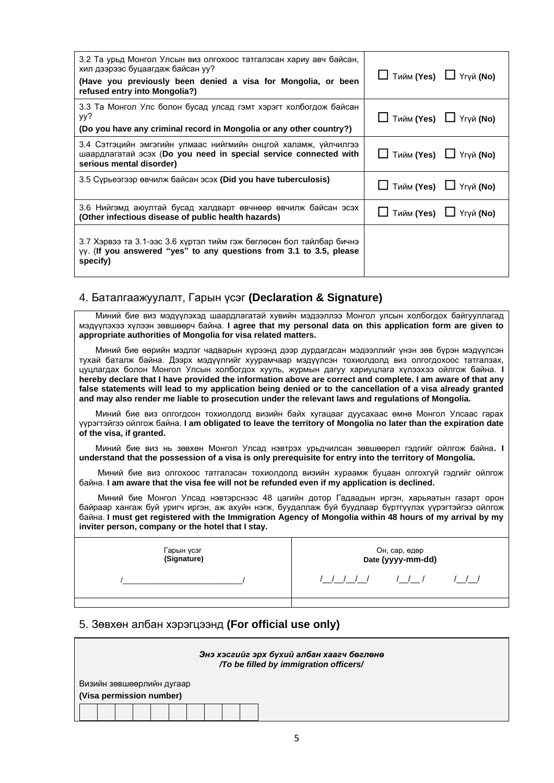| 3.2 Та урьд Монгол Улсын виз олгохоос татгалзсан хариу авч байсан,<br>хил дээрээс буцаагдаж байсан уу?<br>(Have you previously been denied a visa for Mongolia, or been<br>refused entry into Mongolia?) | $\Box$ Тийм (Yes) $\Box$ Үгүй (No) |
|----------------------------------------------------------------------------------------------------------------------------------------------------------------------------------------------------------|------------------------------------|
| 3.3 Та Монгол Улс болон бусад улсад гэмт хэрэгт холбогдож байсан<br>yy?<br>(Do you have any criminal record in Mongolia or any other country?)                                                           | $\Box$ Тийм (Yes) $\Box$ Үгүй (No) |
| 3.4 Сэтгэцийн эмгэгийн улмаас нийгмийн онцгой халамж, үйлчилгээ<br>шаардлагатай эсэх (Do you need in special service connected with<br>serious mental disorder)                                          | $\Box$ Тийм (Yes) $\Box$ Үгүй (No) |
| 3.5 Сурьеэгээр өвчилж байсан эсэх (Did you have tuberculosis)                                                                                                                                            | $\Box$ Тийм (Yes) $\Box$ Үгүй (No) |
| 3.6 Нийгэмд аюултай бусад халдварт өвчнөөр өвчилж байсан эсэх<br>(Other infectious disease of public health hazards)                                                                                     | Тийм (Yes) ⊔ Үгүй (No)             |
| 3.7 Хэрвээ та 3.1-ээс 3.6 хүртэл тийм гэж бөглөсөн бол тайлбар бичнэ<br>$\gamma\gamma$ . (If you answered "yes" to any questions from 3.1 to 3.5, please<br>specify)                                     |                                    |

#### 4. Баталгаажуулалт, Гарын үсэг **(Declaration & Signature)**

 Миний бие виз мэдүүлэхэд шаардлагатай хувийн мэдээллээ Монгол улсын холбогдох байгууллагад мэдүүлэхээ хүлээн зөвшөөрч байна. **I agree that my personal data on this application form are given to appropriate authorities of Mongolia for visa related matters.**

 Миний бие өөрийн мэдлэг чадварын хүрээнд дээр дурдагдсан мэдээллийг үнэн зөв бүрэн мэдүүлсэн тухай баталж байна. Дээрх мэдүүлгийг хуурамчаар мэдүүлсэн тохиолдолд виз олгогдохоос татгалзах, цуцлагдах болон Монгол Улсын холбогдох хууль, журмын дагуу хариуцлага хүлээхээ ойлгож байна. **I hereby declare that I have provided the information above are correct and complete. I am aware of that any false statements will lead to my application being denied or to the cancellation of a visa already granted and may also render me liable to prosecution under the relevant laws and regulations of Mongolia.**

 Миний бие виз олгогдсон тохиолдолд визийн байх хугацааг дуусахаас өмнө Монгол Улсаас гарах үүрэгтэйгээ ойлгож байна. **I am obligated to leave the territory of Mongolia no later than the expiration date of the visa, if granted.**

 Миний бие виз нь зөвхөн Монгол Улсад нэвтрэх урьдчилсан зөвшөөрөл гэдгийг ойлгож байна**. I understand that the possession of a visa is only prerequisite for entry into the territory of Mongolia.**

 Миний бие виз олгохоос татгалзсан тохиолдолд визийн хураамж буцаан олгохгүй гэдгийг ойлгож байна. **I am aware that the visa fee will not be refunded even if my application is declined.**

 Миний бие Монгол Улсад нэвтэрснээс 48 цагийн дотор Гадаадын иргэн, харьяатын газарт орон байраар хангаж буй уригч иргэн, аж ахуйн нэгж, буудаллаж буй буудлаар бүртгүүлэх үүрэгтэйгээ ойлгож байна. **I must get registered with the Immigration Agency of Mongolia within 48 hours of my arrival by my inviter person, company or the hotel that I stay.**

| Гарын үсэг<br>(Signature) | Он, сар, өдөр<br><b>Date (уууу-mm-dd)</b> |  |  |
|---------------------------|-------------------------------------------|--|--|
|                           |                                           |  |  |
|                           |                                           |  |  |

#### 5. Зөвхөн албан хэрэгцээнд **(For official use only)**

|                           |  | Энэ хэсгийг эрх бүхий албан хаагч бөглөнө<br>/To be filled by immigration officers/ |
|---------------------------|--|-------------------------------------------------------------------------------------|
| Визийн зөвшөөрлийн дугаар |  |                                                                                     |
| (Visa permission number)  |  |                                                                                     |
|                           |  |                                                                                     |